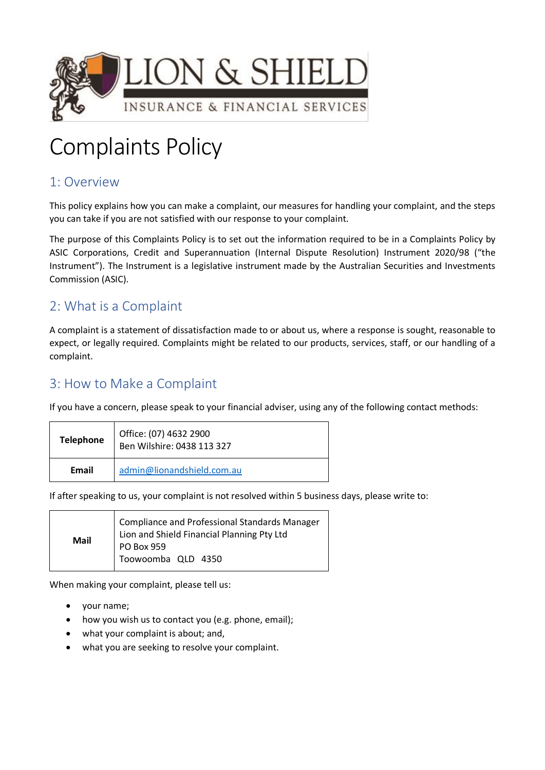

# Complaints Policy

# 1: Overview

This policy explains how you can make a complaint, our measures for handling your complaint, and the steps you can take if you are not satisfied with our response to your complaint.

The purpose of this Complaints Policy is to set out the information required to be in a Complaints Policy by ASIC Corporations, Credit and Superannuation (Internal Dispute Resolution) Instrument 2020/98 ("the Instrument"). The Instrument is a legislative instrument made by the Australian Securities and Investments Commission (ASIC).

# 2: What is a Complaint

A complaint is a statement of dissatisfaction made to or about us, where a response is sought, reasonable to expect, or legally required*.* Complaints might be related to our products, services, staff, or our handling of a complaint.

## 3: How to Make a Complaint

If you have a concern, please speak to your financial adviser, using any of the following contact methods:

| <b>Telephone</b> | Office: (07) 4632 2900<br>Ben Wilshire: 0438 113 327 |
|------------------|------------------------------------------------------|
| Email            | admin@lionandshield.com.au                           |

If after speaking to us, your complaint is not resolved within 5 business days, please write to:

| <b>Mail</b> | Compliance and Professional Standards Manager<br>Lion and Shield Financial Planning Pty Ltd |
|-------------|---------------------------------------------------------------------------------------------|
|             | PO Box 959<br>Toowoomba QLD 4350                                                            |
|             |                                                                                             |

When making your complaint, please tell us:

- your name;
- how you wish us to contact you (e.g. phone, email);
- what your complaint is about; and,
- what you are seeking to resolve your complaint.